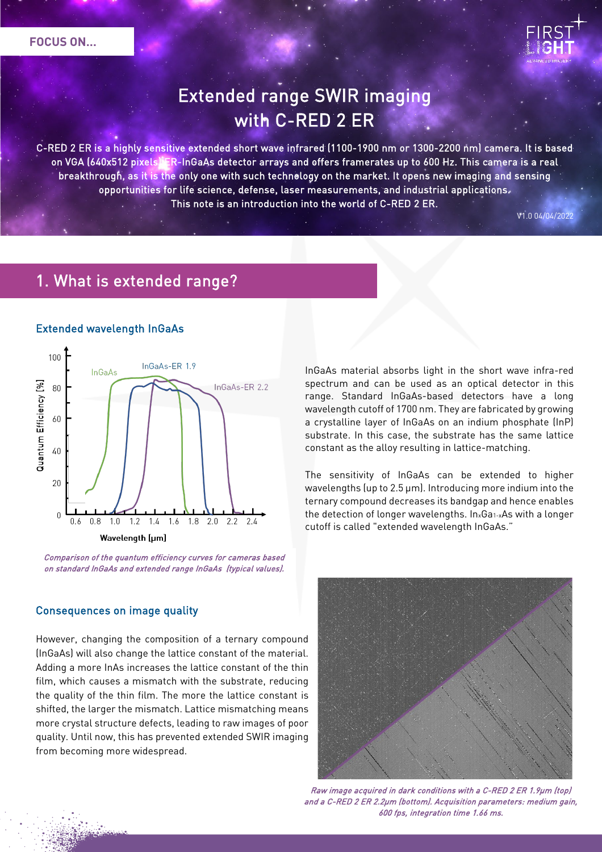

# Extended range SWIR imaging with C-RED 2 ER

C-RED 2 ER is a highly sensitive extended short wave infrared (1100-1900 nm or 1300-2200 nm) camera. It is based on VGA (640x512 pixels) ER-InGaAs detector arrays and offers framerates up to 600 Hz. This camera is a real breakthrough, as it is the only one with such technology on the market. It opens new imaging and sensing opportunities for life science, defense, laser measurements, and industrial applications. This note is an introduction into the world of C-RED 2 ER.

### 1. What is extended range?

#### Extended wavelength InGaAs



Comparison of the quantum efficiency curves for cameras based on standard InGaAs and extended range InGaAs (typical values).

#### Consequences on image quality

However, changing the composition of a ternary compound (InGaAs) will also change the lattice constant of the material. Adding a more InAs increases the lattice constant of the thin film, which causes a mismatch with the substrate, reducing the quality of the thin film. The more the lattice constant is shifted, the larger the mismatch. Lattice mismatching means more crystal structure defects, leading to raw images of poor quality. Until now, this has prevented extended SWIR imaging from becoming more widespread.

InGaAs material absorbs light in the short wave infra-red spectrum and can be used as an optical detector in this range. Standard InGaAs-based detectors have a long wavelength cutoff of 1700 nm. They are fabricated by growing a crystalline layer of InGaAs on an indium phosphate (InP) substrate. In this case, the substrate has the same lattice constant as the alloy resulting in lattice-matching.

The sensitivity of InGaAs can be extended to higher wavelengths (up to 2.5 µm). Introducing more indium into the ternary compound decreases its bandgap and hence enables the detection of longer wavelengths. InxGa1-xAs with a longer cutoff is called "extended wavelength InGaAs."



Raw image acquired in dark conditions with a C-RED 2 ER 1.9µm (top) and a C-RED 2 ER 2.2µm (bottom). Acquisition parameters: medium gain, 600 fps, integration time 1.66 ms.

V1.0 04/04/2022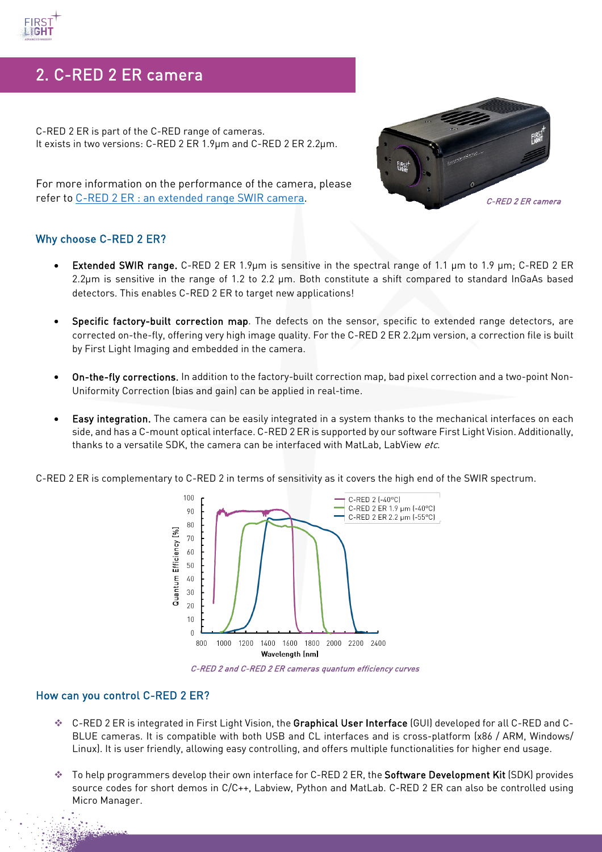## 2. C-RED 2 ER camera

C-RED 2 ER is part of the C-RED range of cameras. It exists in two versions: C-RED 2 ER 1.9µm and C-RED 2 ER 2.2µm.



For more information on the performance of the camera, please refer to [C-RED 2 ER : an extended range SWIR camera.](https://www.first-light-imaging.com/wp-content/uploads/2022/03/De-Kernier-et-al.-2022-C-RED-2-ER-an-extended-range-SWIR-camera-for-hype.pdf)

#### Why choose C-RED 2 ER?

- Extended SWIR range. C-RED 2 ER 1.9µm is sensitive in the spectral range of 1.1 µm to 1.9 µm; C-RED 2 ER 2.2µm is sensitive in the range of 1.2 to 2.2 µm. Both constitute a shift compared to standard InGaAs based detectors. This enables C-RED 2 ER to target new applications!
- Specific factory-built correction map. The defects on the sensor, specific to extended range detectors, are corrected on-the-fly, offering very high image quality. For the C-RED 2 ER 2.2µm version, a correction file is built by First Light Imaging and embedded in the camera.
- On-the-fly corrections. In addition to the factory-built correction map, bad pixel correction and a two-point Non-Uniformity Correction (bias and gain) can be applied in real-time.
- Easy integration. The camera can be easily integrated in a system thanks to the mechanical interfaces on each side, and has a C-mount optical interface. C-RED 2 ER is supported by our software First Light Vision. Additionally, thanks to a versatile SDK, the camera can be interfaced with MatLab, LabView etc.

C-RED 2 ER is complementary to C-RED 2 in terms of sensitivity as it covers the high end of the SWIR spectrum.



C-RED 2 and C-RED 2 ER cameras quantum efficiency curves

#### How can you control C-RED 2 ER?

- ◆ C-RED 2 ER is integrated in First Light Vision, the Graphical User Interface (GUI) developed for all C-RED and C-BLUE cameras. It is compatible with both USB and CL interfaces and is cross-platform (x86 / ARM, Windows/ Linux). It is user friendly, allowing easy controlling, and offers multiple functionalities for higher end usage.
- ◆ To help programmers develop their own interface for C-RED 2 ER, the Software Development Kit (SDK) provides source codes for short demos in C/C++, Labview, Python and MatLab. C-RED 2 ER can also be controlled using Micro Manager.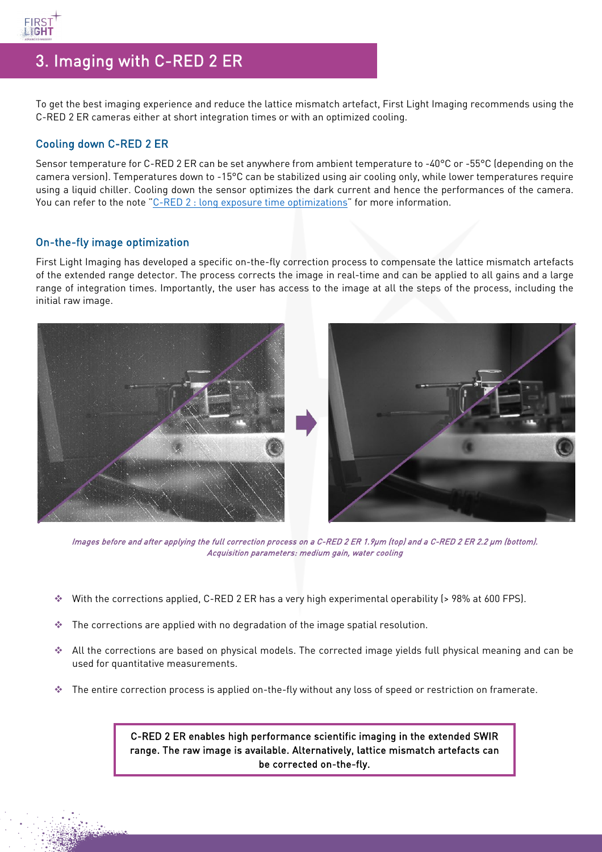

### 3. Imaging with C-RED 2 ER

To get the best imaging experience and reduce the lattice mismatch artefact, First Light Imaging recommends using the C-RED 2 ER cameras either at short integration times or with an optimized cooling.

### Cooling down C-RED 2 ER

Sensor temperature for C-RED 2 ER can be set anywhere from ambient temperature to -40°C or -55°C (depending on the camera version). Temperatures down to -15°C can be stabilized using air cooling only, while lower temperatures require using a liquid chiller. Cooling down the sensor optimizes the dark current and hence the performances of the camera. You can refer to the note ["C-RED 2 : long exposure time optimizations"](https://www.first-light-imaging.com/wp-content/uploads/2020/06/FOCUS_Long-Exposures-times_200526.pdf) for more information.

#### On-the-fly image optimization

First Light Imaging has developed a specific on-the-fly correction process to compensate the lattice mismatch artefacts of the extended range detector. The process corrects the image in real-time and can be applied to all gains and a large range of integration times. Importantly, the user has access to the image at all the steps of the process, including the initial raw image.



Images before and after applying the full correction process on a C-RED 2 ER 1.9µm (top) and a C-RED 2 ER 2.2 µm (bottom). Acquisition parameters: medium gain, water cooling

- With the corrections applied, C-RED 2 ER has a very high experimental operability (> 98% at 600 FPS).
- $\cdot$  The corrections are applied with no degradation of the image spatial resolution.
- All the corrections are based on physical models. The corrected image yields full physical meaning and can be used for quantitative measurements.
- The entire correction process is applied on-the-fly without any loss of speed or restriction on framerate.

C-RED 2 ER enables high performance scientific imaging in the extended SWIR range. The raw image is available. Alternatively, lattice mismatch artefacts can be corrected on-the-fly.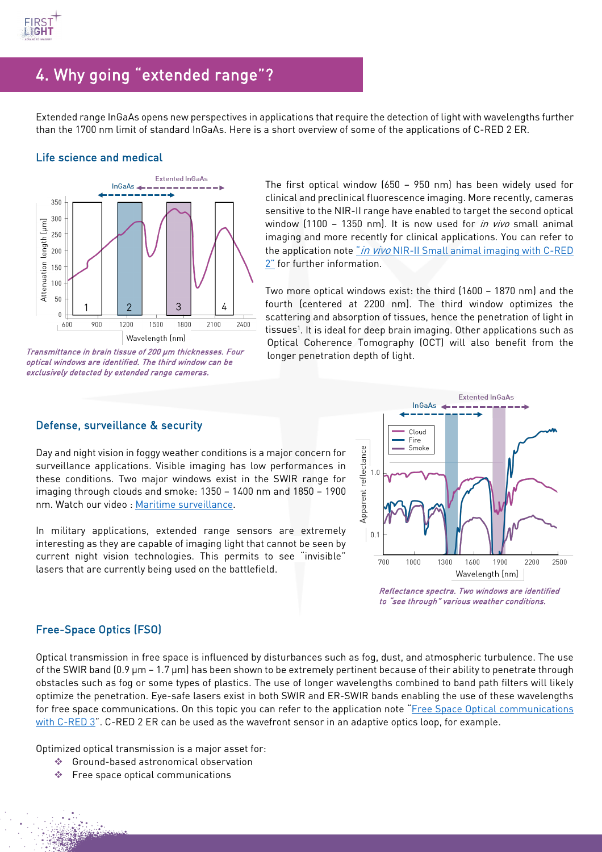

## 4. Why going "extended range"?

Extended range InGaAs opens new perspectives in applications that require the detection of light with wavelengths further than the 1700 nm limit of standard InGaAs. Here is a short overview of some of the applications of C-RED 2 ER.

#### Life science and medical



Transmittance in brain tissue of 200 µm thicknesses. Four optical windows are identified. The third window can be exclusively detected by extended range cameras.

The first optical window (650 – 950 nm) has been widely used for clinical and preclinical fluorescence imaging. More recently, cameras sensitive to the NIR-II range have enabled to target the second optical window (1100 – 1350 nm). It is now used for *in vivo* small animal imaging and more recently for clinical applications. You can refer to the application note " $in$  vivo NIR-II Small animal imaging with C-RED [2"](https://www.first-light-imaging.com/wp-content/uploads/2020/09/FOCUS_SmallAnimalImaging_v5.pdf) for further information.

Two more optical windows exist: the third (1600 – 1870 nm) and the fourth (centered at 2200 nm). The third window optimizes the scattering and absorption of tissues, hence the penetration of light in tissues<sup>1</sup>. It is ideal for deep brain imaging. Other applications such as Optical Coherence Tomography (OCT) will also benefit from the longer penetration depth of light.

#### Defense, surveillance & security

Day and night vision in foggy weather conditions is a major concern for surveillance applications. Visible imaging has low performances in these conditions. Two major windows exist in the SWIR range for imaging through clouds and smoke: 1350 – 1400 nm and 1850 – 1900 nm. Watch our video : [Maritime surveillance.](https://www.youtube.com/watch?v=_wlmal2285o)

In military applications, extended range sensors are extremely interesting as they are capable of imaging light that cannot be seen by current night vision technologies. This permits to see "invisible" lasers that are currently being used on the battlefield.



Reflectance spectra. Two windows are identified to "see through" various weather conditions.

#### Free-Space Optics (FSO)

Optical transmission in free space is influenced by disturbances such as fog, dust, and atmospheric turbulence. The use of the SWIR band  $(0.9 \mu m - 1.7 \mu m)$  has been shown to be extremely pertinent because of their ability to penetrate through obstacles such as fog or some types of plastics. The use of longer wavelengths combined to band path filters will likely optimize the penetration. Eye-safe lasers exist in both SWIR and ER-SWIR bands enabling the use of these wavelengths for free space communications. On this topic you can refer to the application note ["Free Space Optical](https://www.first-light-imaging.com/wp-content/uploads/2020/10/FOCUS_FSO-AO-with-C-RED-3_201019.pdf) communications [with C-RED 3"](https://www.first-light-imaging.com/wp-content/uploads/2020/10/FOCUS_FSO-AO-with-C-RED-3_201019.pdf). C-RED 2 ER can be used as the wavefront sensor in an adaptive optics loop, for example.

Optimized optical transmission is a major asset for:

- Ground-based astronomical observation
- $\triangleq$  Free space optical communications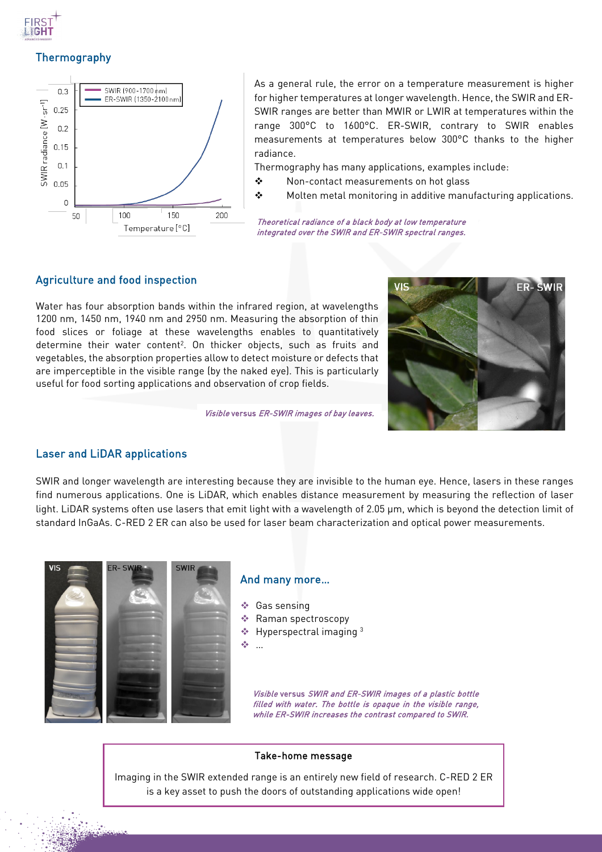

### Thermography



As a general rule, the error on a temperature measurement is higher for higher temperatures at longer wavelength. Hence, the SWIR and ER-SWIR ranges are better than MWIR or LWIR at temperatures within the range 300°C to 1600°C. ER-SWIR, contrary to SWIR enables measurements at temperatures below 300°C thanks to the higher radiance.

Thermography has many applications, examples include:

- ◆ Non-contact measurements on hot glass
- $\mathbf{\hat{P}}$  Molten metal monitoring in additive manufacturing applications.

Theoretical radiance of a black body at low temperature integrated over the SWIR and ER-SWIR spectral ranges.

#### Agriculture and food inspection

Water has four absorption bands within the infrared region, at wavelengths 1200 nm, 1450 nm, 1940 nm and 2950 nm. Measuring the absorption of thin food slices or foliage at these wavelengths enables to quantitatively determine their water content<sup>2</sup>. On thicker objects, such as fruits and vegetables, the absorption properties allow to detect moisture or defects that are imperceptible in the visible range (by the naked eye). This is particularly useful for food sorting applications and observation of crop fields.



Visible versus ER-SWIR images of bay leaves.

#### Laser and LiDAR applications

SWIR and longer wavelength are interesting because they are invisible to the human eye. Hence, lasers in these ranges find numerous applications. One is LiDAR, which enables distance measurement by measuring the reflection of laser light. LiDAR systems often use lasers that emit light with a wavelength of 2.05 μm, which is beyond the detection limit of standard InGaAs. C-RED 2 ER can also be used for laser beam characterization and optical power measurements.



#### And many more…

- Gas sensing
- Raman spectroscopy
- $\triangleq$  Hyperspectral imaging 3
- …

Visible versus SWIR and ER-SWIR images of a plastic bottle filled with water. The bottle is opaque in the visible range, while ER-SWIR increases the contrast compared to SWIR.

#### Take-home message

Imaging in the SWIR extended range is an entirely new field of research. C-RED 2 ER is a key asset to push the doors of outstanding applications wide open!